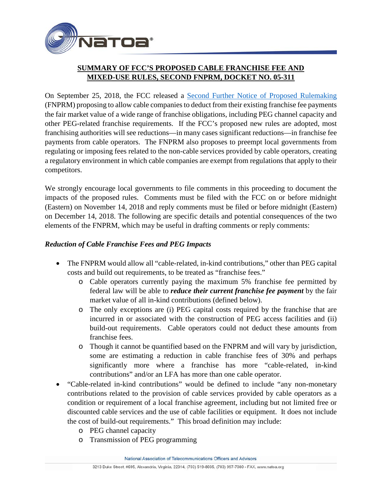

## **SUMMARY OF FCC'S PROPOSED CABLE FRANCHISE FEE AND MIXED-USE RULES, SECOND FNPRM, DOCKET NO. 05-311**

On September 25, 2018, the FCC released a [Second Further Notice of Proposed Rulemaking](https://docs.fcc.gov/public/attachments/FCC-18-131A1.pdf) (FNPRM) proposing to allow cable companies to deduct from their existing franchise fee payments the fair market value of a wide range of franchise obligations, including PEG channel capacity and other PEG-related franchise requirements. If the FCC's proposed new rules are adopted, most franchising authorities will see reductions—in many cases significant reductions—in franchise fee payments from cable operators. The FNPRM also proposes to preempt local governments from regulating or imposing fees related to the non-cable services provided by cable operators, creating a regulatory environment in which cable companies are exempt from regulations that apply to their competitors.

We strongly encourage local governments to file comments in this proceeding to document the impacts of the proposed rules. Comments must be filed with the FCC on or before midnight (Eastern) on November 14, 2018 and reply comments must be filed or before midnight (Eastern) on December 14, 2018. The following are specific details and potential consequences of the two elements of the FNPRM, which may be useful in drafting comments or reply comments:

## *Reduction of Cable Franchise Fees and PEG Impacts*

- The FNPRM would allow all "cable-related, in-kind contributions," other than PEG capital costs and build out requirements, to be treated as "franchise fees."
	- o Cable operators currently paying the maximum 5% franchise fee permitted by federal law will be able to *reduce their current franchise fee payment* by the fair market value of all in-kind contributions (defined below).
	- o The only exceptions are (i) PEG capital costs required by the franchise that are incurred in or associated with the construction of PEG access facilities and (ii) build-out requirements. Cable operators could not deduct these amounts from franchise fees.
	- o Though it cannot be quantified based on the FNPRM and will vary by jurisdiction, some are estimating a reduction in cable franchise fees of 30% and perhaps significantly more where a franchise has more "cable-related, in-kind contributions" and/or an LFA has more than one cable operator.
- "Cable-related in-kind contributions" would be defined to include "any non-monetary contributions related to the provision of cable services provided by cable operators as a condition or requirement of a local franchise agreement, including but not limited free or discounted cable services and the use of cable facilities or equipment. It does not include the cost of build-out requirements." This broad definition may include:
	- o PEG channel capacity
	- o Transmission of PEG programming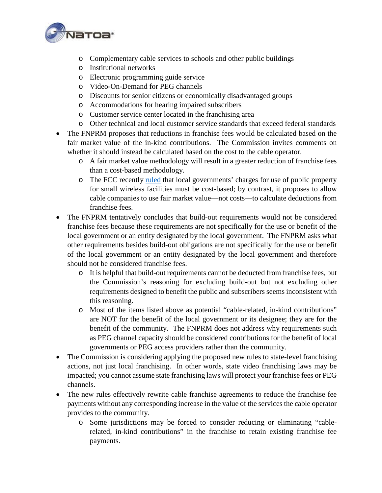

- o Complementary cable services to schools and other public buildings
- o Institutional networks
- o Electronic programming guide service
- o Video-On-Demand for PEG channels
- o Discounts for senior citizens or economically disadvantaged groups
- o Accommodations for hearing impaired subscribers
- o Customer service center located in the franchising area
- o Other technical and local customer service standards that exceed federal standards
- The FNPRM proposes that reductions in franchise fees would be calculated based on the fair market value of the in-kind contributions. The Commission invites comments on whether it should instead be calculated based on the cost to the cable operator.
	- o A fair market value methodology will result in a greater reduction of franchise fees than a cost-based methodology.
	- o The FCC recently [ruled](https://ecfsapi.fcc.gov/file/0927025585935/FCC-18-133A1.pdf) that local governments' charges for use of public property for small wireless facilities must be cost-based; by contrast, it proposes to allow cable companies to use fair market value—not costs—to calculate deductions from franchise fees.
- The FNPRM tentatively concludes that build-out requirements would not be considered franchise fees because these requirements are not specifically for the use or benefit of the local government or an entity designated by the local government. The FNPRM asks what other requirements besides build-out obligations are not specifically for the use or benefit of the local government or an entity designated by the local government and therefore should not be considered franchise fees.
	- o It is helpful that build-out requirements cannot be deducted from franchise fees, but the Commission's reasoning for excluding build-out but not excluding other requirements designed to benefit the public and subscribers seems inconsistent with this reasoning.
	- o Most of the items listed above as potential "cable-related, in-kind contributions" are NOT for the benefit of the local government or its designee; they are for the benefit of the community. The FNPRM does not address why requirements such as PEG channel capacity should be considered contributions for the benefit of local governments or PEG access providers rather than the community.
- The Commission is considering applying the proposed new rules to state-level franchising actions, not just local franchising. In other words, state video franchising laws may be impacted; you cannot assume state franchising laws will protect your franchise fees or PEG channels.
- The new rules effectively rewrite cable franchise agreements to reduce the franchise fee payments without any corresponding increase in the value of the services the cable operator provides to the community.
	- o Some jurisdictions may be forced to consider reducing or eliminating "cablerelated, in-kind contributions" in the franchise to retain existing franchise fee payments.